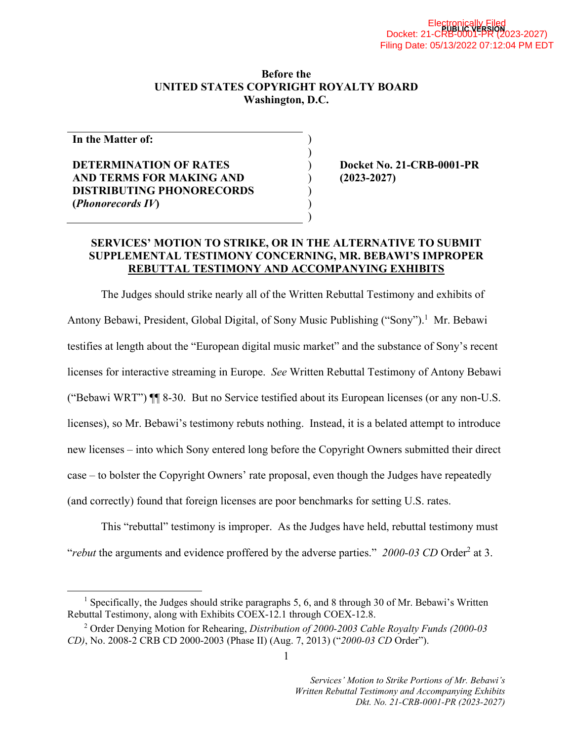#### **Before the UNITED STATES COPYRIGHT ROYALTY BOARD Washington, D.C.**

) )

) ) )

**In the Matter of:** 

# **DETERMINATION OF RATES AND TERMS FOR MAKING AND DISTRIBUTING PHONORECORDS (***Phonorecords IV***)**

) **Docket No. 21-CRB-0001-PR**  ) **(2023-2027)** 

## **SERVICES' MOTION TO STRIKE, OR IN THE ALTERNATIVE TO SUBMIT SUPPLEMENTAL TESTIMONY CONCERNING, MR. BEBAWI'S IMPROPER REBUTTAL TESTIMONY AND ACCOMPANYING EXHIBITS**

The Judges should strike nearly all of the Written Rebuttal Testimony and exhibits of Antony Bebawi, President, Global Digital, of Sony Music Publishing ("Sony").<sup>1</sup> Mr. Bebawi testifies at length about the "European digital music market" and the substance of Sony's recent licenses for interactive streaming in Europe. *See* Written Rebuttal Testimony of Antony Bebawi ("Bebawi WRT") ¶¶ 8-30. But no Service testified about its European licenses (or any non-U.S. licenses), so Mr. Bebawi's testimony rebuts nothing. Instead, it is a belated attempt to introduce new licenses – into which Sony entered long before the Copyright Owners submitted their direct case – to bolster the Copyright Owners' rate proposal, even though the Judges have repeatedly (and correctly) found that foreign licenses are poor benchmarks for setting U.S. rates.

This "rebuttal" testimony is improper. As the Judges have held, rebuttal testimony must "*rebut* the arguments and evidence proffered by the adverse parties." 2000-03 CD Order<sup>2</sup> at 3.

<sup>&</sup>lt;sup>1</sup> Specifically, the Judges should strike paragraphs 5, 6, and 8 through 30 of Mr. Bebawi's Written Rebuttal Testimony, along with Exhibits COEX-12.1 through COEX-12.8.

<sup>2</sup> Order Denying Motion for Rehearing, *Distribution of 2000-2003 Cable Royalty Funds (2000-03 CD)*, No. 2008-2 CRB CD 2000-2003 (Phase II) (Aug. 7, 2013) ("*2000-03 CD* Order").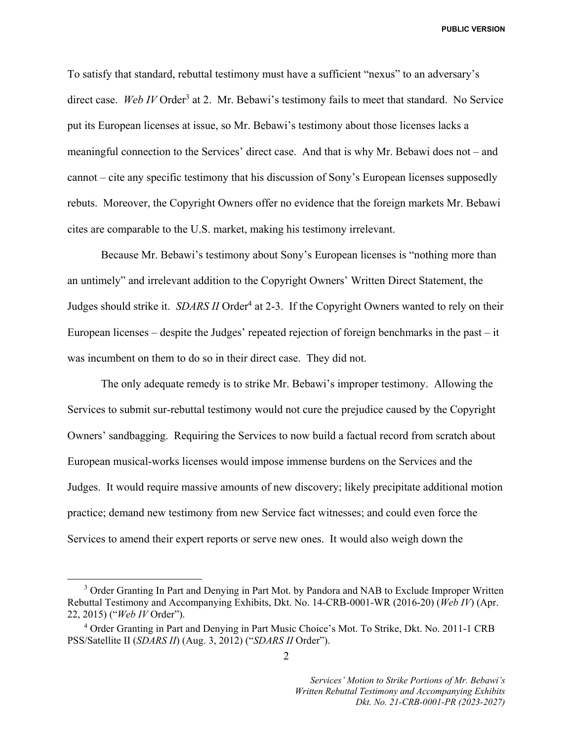To satisfy that standard, rebuttal testimony must have a sufficient "nexus" to an adversary's direct case. Web IV Order<sup>3</sup> at 2. Mr. Bebawi's testimony fails to meet that standard. No Service put its European licenses at issue, so Mr. Bebawi's testimony about those licenses lacks a meaningful connection to the Services' direct case. And that is why Mr. Bebawi does not – and cannot – cite any specific testimony that his discussion of Sony's European licenses supposedly rebuts. Moreover, the Copyright Owners offer no evidence that the foreign markets Mr. Bebawi cites are comparable to the U.S. market, making his testimony irrelevant.

Because Mr. Bebawi's testimony about Sony's European licenses is "nothing more than an untimely" and irrelevant addition to the Copyright Owners' Written Direct Statement, the Judges should strike it. *SDARS II* Order<sup>4</sup> at 2-3. If the Copyright Owners wanted to rely on their European licenses – despite the Judges' repeated rejection of foreign benchmarks in the past – it was incumbent on them to do so in their direct case. They did not.

The only adequate remedy is to strike Mr. Bebawi's improper testimony. Allowing the Services to submit sur-rebuttal testimony would not cure the prejudice caused by the Copyright Owners' sandbagging. Requiring the Services to now build a factual record from scratch about European musical-works licenses would impose immense burdens on the Services and the Judges. It would require massive amounts of new discovery; likely precipitate additional motion practice; demand new testimony from new Service fact witnesses; and could even force the Services to amend their expert reports or serve new ones. It would also weigh down the

 $\frac{1}{3}$ <sup>3</sup> Order Granting In Part and Denying in Part Mot. by Pandora and NAB to Exclude Improper Written Rebuttal Testimony and Accompanying Exhibits, Dkt. No. 14-CRB-0001-WR (2016-20) (*Web IV*) (Apr. 22, 2015) ("*Web IV* Order").

<sup>&</sup>lt;sup>4</sup> Order Granting in Part and Denying in Part Music Choice's Mot. To Strike, Dkt. No. 2011-1 CRB PSS/Satellite II (*SDARS II*) (Aug. 3, 2012) ("*SDARS II* Order").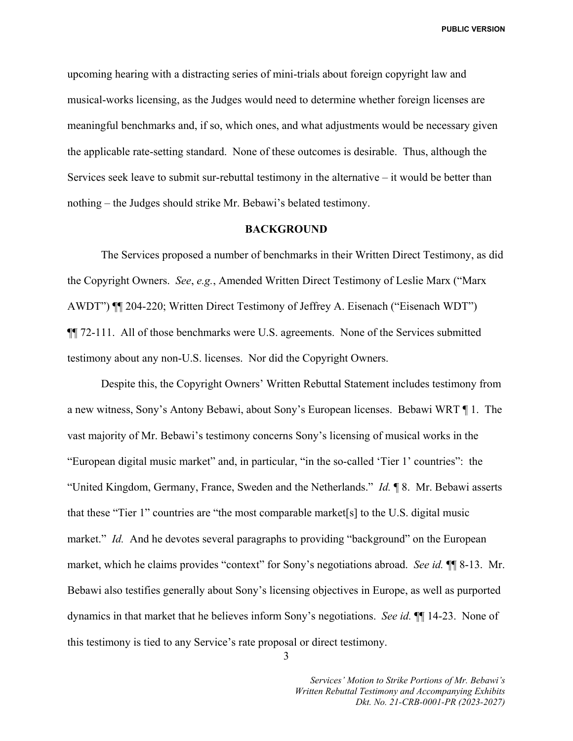upcoming hearing with a distracting series of mini-trials about foreign copyright law and musical-works licensing, as the Judges would need to determine whether foreign licenses are meaningful benchmarks and, if so, which ones, and what adjustments would be necessary given the applicable rate-setting standard. None of these outcomes is desirable. Thus, although the Services seek leave to submit sur-rebuttal testimony in the alternative – it would be better than nothing – the Judges should strike Mr. Bebawi's belated testimony.

#### **BACKGROUND**

The Services proposed a number of benchmarks in their Written Direct Testimony, as did the Copyright Owners. *See*, *e.g.*, Amended Written Direct Testimony of Leslie Marx ("Marx AWDT") ¶¶ 204-220; Written Direct Testimony of Jeffrey A. Eisenach ("Eisenach WDT") ¶¶ 72-111. All of those benchmarks were U.S. agreements. None of the Services submitted testimony about any non-U.S. licenses. Nor did the Copyright Owners.

Despite this, the Copyright Owners' Written Rebuttal Statement includes testimony from a new witness, Sony's Antony Bebawi, about Sony's European licenses. Bebawi WRT ¶ 1. The vast majority of Mr. Bebawi's testimony concerns Sony's licensing of musical works in the "European digital music market" and, in particular, "in the so-called 'Tier 1' countries": the "United Kingdom, Germany, France, Sweden and the Netherlands." *Id.* ¶ 8. Mr. Bebawi asserts that these "Tier 1" countries are "the most comparable market[s] to the U.S. digital music market." *Id.* And he devotes several paragraphs to providing "background" on the European market, which he claims provides "context" for Sony's negotiations abroad. *See id.* ¶¶ 8-13. Mr. Bebawi also testifies generally about Sony's licensing objectives in Europe, as well as purported dynamics in that market that he believes inform Sony's negotiations. *See id.* ¶¶ 14-23. None of this testimony is tied to any Service's rate proposal or direct testimony.

3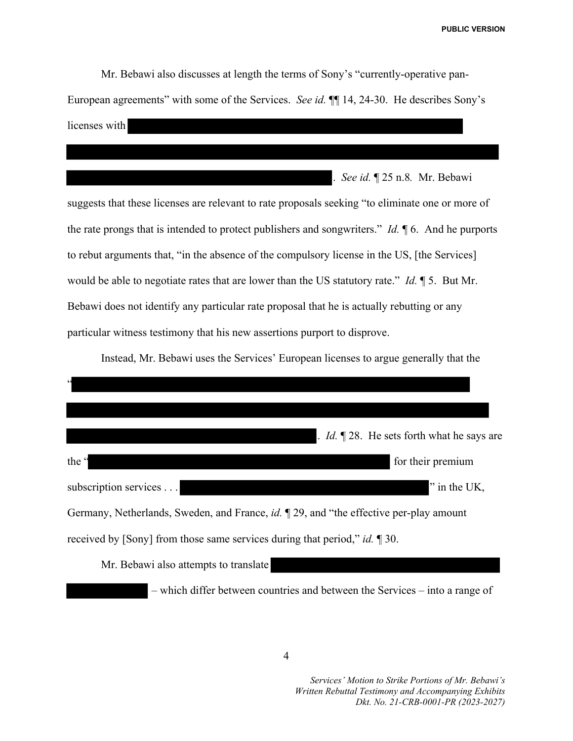Mr. Bebawi also discusses at length the terms of Sony's "currently-operative pan-European agreements" with some of the Services. *See id.* ¶¶ 14, 24-30. He describes Sony's licenses with

. *See id.* ¶ 25 n.8*.* Mr. Bebawi

suggests that these licenses are relevant to rate proposals seeking "to eliminate one or more of the rate prongs that is intended to protect publishers and songwriters." *Id.* ¶ 6. And he purports to rebut arguments that, "in the absence of the compulsory license in the US, [the Services] would be able to negotiate rates that are lower than the US statutory rate." *Id.* ¶ 5. But Mr. Bebawi does not identify any particular rate proposal that he is actually rebutting or any particular witness testimony that his new assertions purport to disprove.

Instead, Mr. Bebawi uses the Services' European licenses to argue generally that the

| $\epsilon$                                                                             |                                                           |
|----------------------------------------------------------------------------------------|-----------------------------------------------------------|
|                                                                                        |                                                           |
|                                                                                        | . <i>Id.</i> $\sqrt{28}$ . He sets forth what he says are |
| the "                                                                                  | for their premium                                         |
| subscription services                                                                  | " in the UK,                                              |
| Germany, Netherlands, Sweden, and France, id. 1 29, and "the effective per-play amount |                                                           |
| received by [Sony] from those same services during that period," id. ¶ 30.             |                                                           |
| Mr. Bebawi also attempts to translate                                                  |                                                           |

– which differ between countries and between the Services – into a range of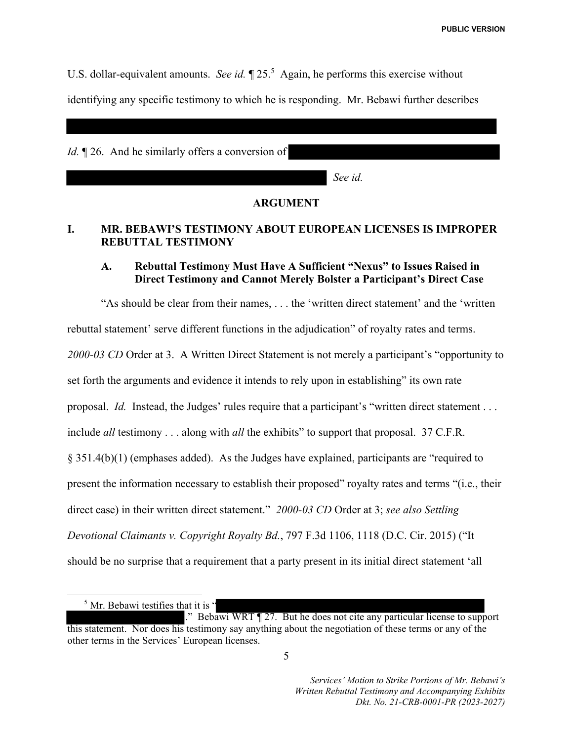U.S. dollar-equivalent amounts. *See id*.  $\sqrt{25.5}$  Again, he performs this exercise without identifying any specific testimony to which he is responding. Mr. Bebawi further describes

*Id.* 126. And he similarly offers a conversion of

*See id.* 

## **ARGUMENT**

# **I. MR. BEBAWI'S TESTIMONY ABOUT EUROPEAN LICENSES IS IMPROPER REBUTTAL TESTIMONY**

### **A. Rebuttal Testimony Must Have A Sufficient "Nexus" to Issues Raised in Direct Testimony and Cannot Merely Bolster a Participant's Direct Case**

"As should be clear from their names, . . . the 'written direct statement' and the 'written rebuttal statement' serve different functions in the adjudication" of royalty rates and terms. *2000-03 CD* Order at 3. A Written Direct Statement is not merely a participant's "opportunity to set forth the arguments and evidence it intends to rely upon in establishing" its own rate proposal. *Id.* Instead, the Judges' rules require that a participant's "written direct statement . . . include *all* testimony . . . along with *all* the exhibits" to support that proposal. 37 C.F.R. § 351.4(b)(1) (emphases added). As the Judges have explained, participants are "required to present the information necessary to establish their proposed" royalty rates and terms "(i.e., their direct case) in their written direct statement." *2000-03 CD* Order at 3; *see also Settling Devotional Claimants v. Copyright Royalty Bd.*, 797 F.3d 1106, 1118 (D.C. Cir. 2015) ("It should be no surprise that a requirement that a party present in its initial direct statement 'all

<sup>5</sup> Mr. Bebawi testifies that it is "

<sup>.&</sup>quot; Bebawi WRT ¶ 27. But he does not cite any particular license to support this statement. Nor does his testimony say anything about the negotiation of these terms or any of the other terms in the Services' European licenses.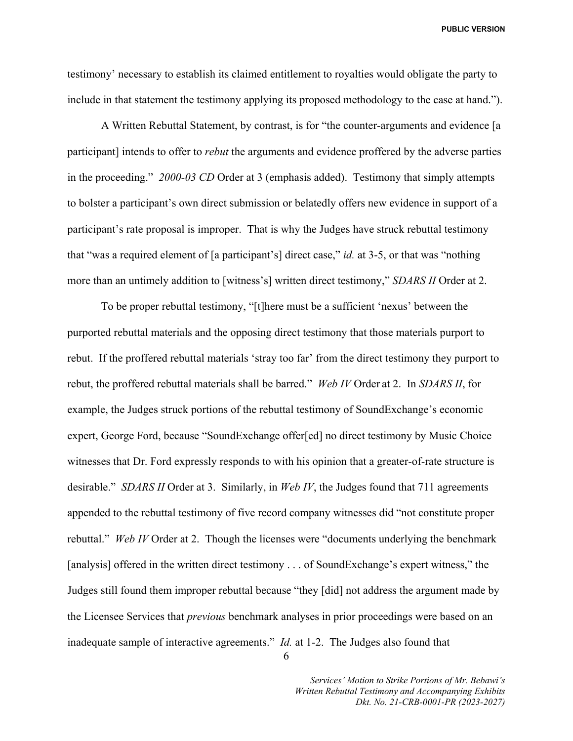testimony' necessary to establish its claimed entitlement to royalties would obligate the party to include in that statement the testimony applying its proposed methodology to the case at hand.").

A Written Rebuttal Statement, by contrast, is for "the counter-arguments and evidence [a participant] intends to offer to *rebut* the arguments and evidence proffered by the adverse parties in the proceeding." *2000-03 CD* Order at 3 (emphasis added). Testimony that simply attempts to bolster a participant's own direct submission or belatedly offers new evidence in support of a participant's rate proposal is improper. That is why the Judges have struck rebuttal testimony that "was a required element of [a participant's] direct case," *id.* at 3-5, or that was "nothing more than an untimely addition to [witness's] written direct testimony," *SDARS II* Order at 2.

To be proper rebuttal testimony, "[t]here must be a sufficient 'nexus' between the purported rebuttal materials and the opposing direct testimony that those materials purport to rebut. If the proffered rebuttal materials 'stray too far' from the direct testimony they purport to rebut, the proffered rebuttal materials shall be barred." *Web IV* Order at 2. In *SDARS II*, for example, the Judges struck portions of the rebuttal testimony of SoundExchange's economic expert, George Ford, because "SoundExchange offer[ed] no direct testimony by Music Choice witnesses that Dr. Ford expressly responds to with his opinion that a greater-of-rate structure is desirable." *SDARS II* Order at 3. Similarly, in *Web IV*, the Judges found that 711 agreements appended to the rebuttal testimony of five record company witnesses did "not constitute proper rebuttal." *Web IV* Order at 2. Though the licenses were "documents underlying the benchmark [analysis] offered in the written direct testimony . . . of SoundExchange's expert witness," the Judges still found them improper rebuttal because "they [did] not address the argument made by the Licensee Services that *previous* benchmark analyses in prior proceedings were based on an inadequate sample of interactive agreements." *Id.* at 1-2. The Judges also found that

6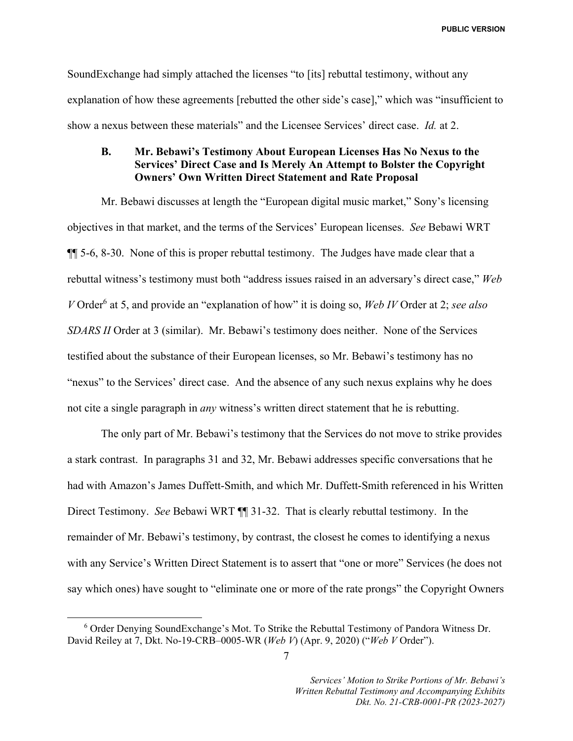SoundExchange had simply attached the licenses "to [its] rebuttal testimony, without any explanation of how these agreements [rebutted the other side's case]," which was "insufficient to show a nexus between these materials" and the Licensee Services' direct case. *Id.* at 2.

### **B. Mr. Bebawi's Testimony About European Licenses Has No Nexus to the Services' Direct Case and Is Merely An Attempt to Bolster the Copyright Owners' Own Written Direct Statement and Rate Proposal**

Mr. Bebawi discusses at length the "European digital music market," Sony's licensing objectives in that market, and the terms of the Services' European licenses. *See* Bebawi WRT ¶¶ 5-6, 8-30. None of this is proper rebuttal testimony. The Judges have made clear that a rebuttal witness's testimony must both "address issues raised in an adversary's direct case," *Web V* Order<sup>6</sup> at 5, and provide an "explanation of how" it is doing so, *Web IV* Order at 2; *see also SDARS II* Order at 3 (similar). Mr. Bebawi's testimony does neither. None of the Services testified about the substance of their European licenses, so Mr. Bebawi's testimony has no "nexus" to the Services' direct case. And the absence of any such nexus explains why he does not cite a single paragraph in *any* witness's written direct statement that he is rebutting.

The only part of Mr. Bebawi's testimony that the Services do not move to strike provides a stark contrast. In paragraphs 31 and 32, Mr. Bebawi addresses specific conversations that he had with Amazon's James Duffett-Smith, and which Mr. Duffett-Smith referenced in his Written Direct Testimony. *See* Bebawi WRT ¶¶ 31-32. That is clearly rebuttal testimony. In the remainder of Mr. Bebawi's testimony, by contrast, the closest he comes to identifying a nexus with any Service's Written Direct Statement is to assert that "one or more" Services (he does not say which ones) have sought to "eliminate one or more of the rate prongs" the Copyright Owners

 <sup>6</sup> <sup>6</sup> Order Denying SoundExchange's Mot. To Strike the Rebuttal Testimony of Pandora Witness Dr. David Reiley at 7, Dkt. No-19-CRB–0005-WR (*Web V*) (Apr. 9, 2020) ("*Web V* Order").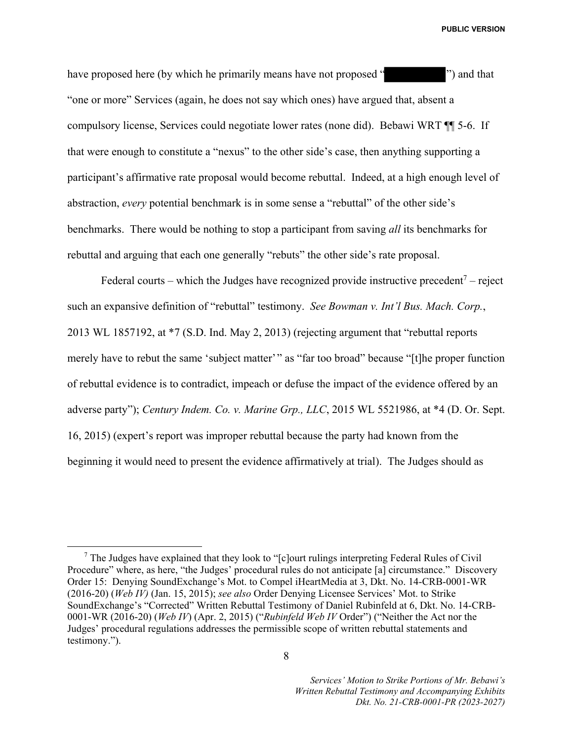have proposed here (by which he primarily means have not proposed "") and that "one or more" Services (again, he does not say which ones) have argued that, absent a compulsory license, Services could negotiate lower rates (none did). Bebawi WRT ¶¶ 5-6. If that were enough to constitute a "nexus" to the other side's case, then anything supporting a participant's affirmative rate proposal would become rebuttal. Indeed, at a high enough level of abstraction, *every* potential benchmark is in some sense a "rebuttal" of the other side's benchmarks. There would be nothing to stop a participant from saving *all* its benchmarks for rebuttal and arguing that each one generally "rebuts" the other side's rate proposal.

Federal courts – which the Judges have recognized provide instructive precedent<sup>7</sup> – reject such an expansive definition of "rebuttal" testimony. *See Bowman v. Int'l Bus. Mach. Corp.*, 2013 WL 1857192, at \*7 (S.D. Ind. May 2, 2013) (rejecting argument that "rebuttal reports merely have to rebut the same 'subject matter'" as "far too broad" because "[t]he proper function of rebuttal evidence is to contradict, impeach or defuse the impact of the evidence offered by an adverse party"); *Century Indem. Co. v. Marine Grp., LLC*, 2015 WL 5521986, at \*4 (D. Or. Sept. 16, 2015) (expert's report was improper rebuttal because the party had known from the beginning it would need to present the evidence affirmatively at trial). The Judges should as

 $\frac{1}{7}$  $\frac{7}{7}$  The Judges have explained that they look to "[c]ourt rulings interpreting Federal Rules of Civil Procedure" where, as here, "the Judges' procedural rules do not anticipate [a] circumstance." Discovery Order 15: Denying SoundExchange's Mot. to Compel iHeartMedia at 3, Dkt. No. 14-CRB-0001-WR (2016-20) (*Web IV)* (Jan. 15, 2015); *see also* Order Denying Licensee Services' Mot. to Strike SoundExchange's "Corrected" Written Rebuttal Testimony of Daniel Rubinfeld at 6, Dkt. No. 14-CRB-0001-WR (2016-20) (*Web IV*) (Apr. 2, 2015) ("*Rubinfeld Web IV* Order") ("Neither the Act nor the Judges' procedural regulations addresses the permissible scope of written rebuttal statements and testimony.").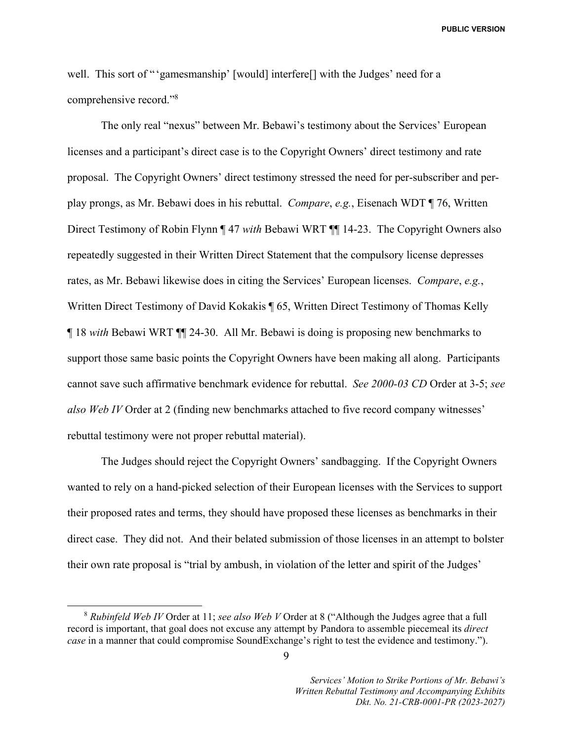well. This sort of "'gamesmanship' [would] interfere[] with the Judges' need for a comprehensive record."<sup>8</sup>

The only real "nexus" between Mr. Bebawi's testimony about the Services' European licenses and a participant's direct case is to the Copyright Owners' direct testimony and rate proposal. The Copyright Owners' direct testimony stressed the need for per-subscriber and perplay prongs, as Mr. Bebawi does in his rebuttal. *Compare*, *e.g.*, Eisenach WDT ¶ 76, Written Direct Testimony of Robin Flynn ¶ 47 *with* Bebawi WRT ¶¶ 14-23. The Copyright Owners also repeatedly suggested in their Written Direct Statement that the compulsory license depresses rates, as Mr. Bebawi likewise does in citing the Services' European licenses. *Compare*, *e.g.*, Written Direct Testimony of David Kokakis ¶ 65, Written Direct Testimony of Thomas Kelly ¶ 18 *with* Bebawi WRT ¶¶ 24-30. All Mr. Bebawi is doing is proposing new benchmarks to support those same basic points the Copyright Owners have been making all along. Participants cannot save such affirmative benchmark evidence for rebuttal. *See 2000-03 CD* Order at 3-5; *see also Web IV* Order at 2 (finding new benchmarks attached to five record company witnesses' rebuttal testimony were not proper rebuttal material).

The Judges should reject the Copyright Owners' sandbagging. If the Copyright Owners wanted to rely on a hand-picked selection of their European licenses with the Services to support their proposed rates and terms, they should have proposed these licenses as benchmarks in their direct case. They did not. And their belated submission of those licenses in an attempt to bolster their own rate proposal is "trial by ambush, in violation of the letter and spirit of the Judges'

 <sup>8</sup> *Rubinfeld Web IV* Order at 11; *see also Web V* Order at 8 ("Although the Judges agree that a full record is important, that goal does not excuse any attempt by Pandora to assemble piecemeal its *direct case* in a manner that could compromise SoundExchange's right to test the evidence and testimony.").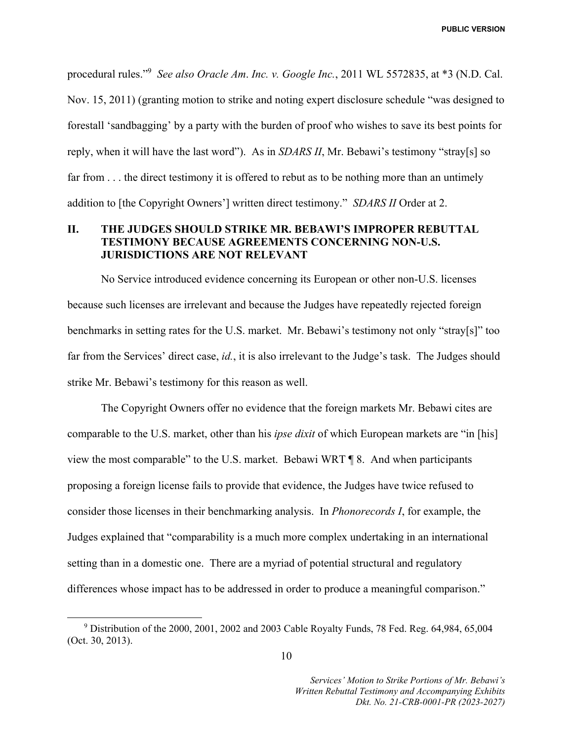procedural rules."9 *See also Oracle Am*. *Inc. v. Google Inc.*, 2011 WL 5572835, at \*3 (N.D. Cal. Nov. 15, 2011) (granting motion to strike and noting expert disclosure schedule "was designed to forestall 'sandbagging' by a party with the burden of proof who wishes to save its best points for reply, when it will have the last word"). As in *SDARS II*, Mr. Bebawi's testimony "stray[s] so far from . . . the direct testimony it is offered to rebut as to be nothing more than an untimely addition to [the Copyright Owners'] written direct testimony." *SDARS II* Order at 2.

### **II. THE JUDGES SHOULD STRIKE MR. BEBAWI'S IMPROPER REBUTTAL TESTIMONY BECAUSE AGREEMENTS CONCERNING NON-U.S. JURISDICTIONS ARE NOT RELEVANT**

No Service introduced evidence concerning its European or other non-U.S. licenses because such licenses are irrelevant and because the Judges have repeatedly rejected foreign benchmarks in setting rates for the U.S. market. Mr. Bebawi's testimony not only "stray[s]" too far from the Services' direct case, *id.*, it is also irrelevant to the Judge's task. The Judges should strike Mr. Bebawi's testimony for this reason as well.

The Copyright Owners offer no evidence that the foreign markets Mr. Bebawi cites are comparable to the U.S. market, other than his *ipse dixit* of which European markets are "in [his] view the most comparable" to the U.S. market. Bebawi WRT ¶ 8. And when participants proposing a foreign license fails to provide that evidence, the Judges have twice refused to consider those licenses in their benchmarking analysis. In *Phonorecords I*, for example, the Judges explained that "comparability is a much more complex undertaking in an international setting than in a domestic one. There are a myriad of potential structural and regulatory differences whose impact has to be addressed in order to produce a meaningful comparison."

 $\frac{1}{9}$  $9$  Distribution of the 2000, 2001, 2002 and 2003 Cable Royalty Funds, 78 Fed. Reg. 64,984, 65,004 (Oct. 30, 2013).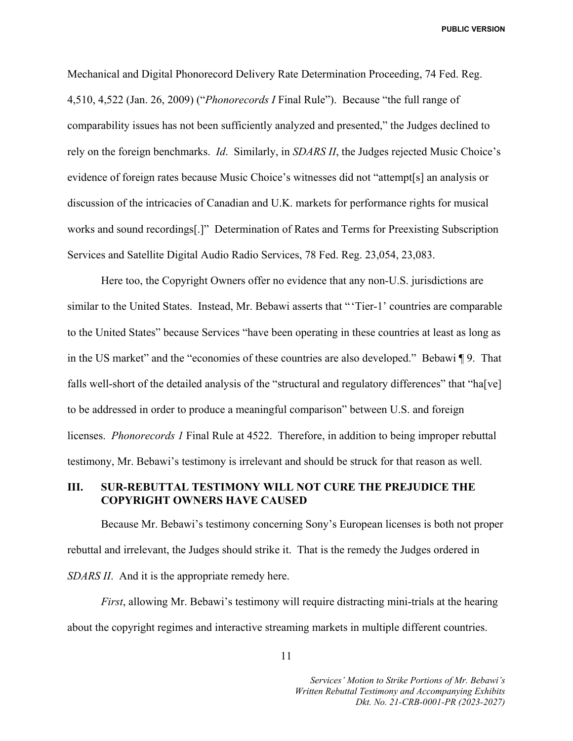Mechanical and Digital Phonorecord Delivery Rate Determination Proceeding, 74 Fed. Reg. 4,510, 4,522 (Jan. 26, 2009) ("*Phonorecords I* Final Rule"). Because "the full range of comparability issues has not been sufficiently analyzed and presented," the Judges declined to rely on the foreign benchmarks. *Id*. Similarly, in *SDARS II*, the Judges rejected Music Choice's evidence of foreign rates because Music Choice's witnesses did not "attempt[s] an analysis or discussion of the intricacies of Canadian and U.K. markets for performance rights for musical works and sound recordings[.]" Determination of Rates and Terms for Preexisting Subscription Services and Satellite Digital Audio Radio Services, 78 Fed. Reg. 23,054, 23,083.

Here too, the Copyright Owners offer no evidence that any non-U.S. jurisdictions are similar to the United States. Instead, Mr. Bebawi asserts that "'Tier-1' countries are comparable to the United States" because Services "have been operating in these countries at least as long as in the US market" and the "economies of these countries are also developed." Bebawi ¶ 9. That falls well-short of the detailed analysis of the "structural and regulatory differences" that "ha[ve] to be addressed in order to produce a meaningful comparison" between U.S. and foreign licenses. *Phonorecords 1* Final Rule at 4522. Therefore, in addition to being improper rebuttal testimony, Mr. Bebawi's testimony is irrelevant and should be struck for that reason as well.

#### **III. SUR-REBUTTAL TESTIMONY WILL NOT CURE THE PREJUDICE THE COPYRIGHT OWNERS HAVE CAUSED**

Because Mr. Bebawi's testimony concerning Sony's European licenses is both not proper rebuttal and irrelevant, the Judges should strike it. That is the remedy the Judges ordered in *SDARS II*. And it is the appropriate remedy here.

*First*, allowing Mr. Bebawi's testimony will require distracting mini-trials at the hearing about the copyright regimes and interactive streaming markets in multiple different countries.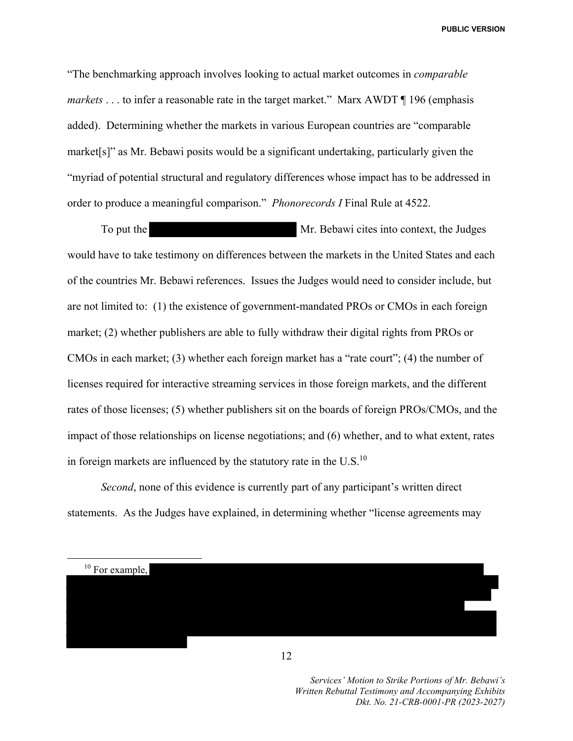"The benchmarking approach involves looking to actual market outcomes in *comparable markets* . . . to infer a reasonable rate in the target market." Marx AWDT ¶ 196 (emphasis added). Determining whether the markets in various European countries are "comparable market[s]" as Mr. Bebawi posits would be a significant undertaking, particularly given the "myriad of potential structural and regulatory differences whose impact has to be addressed in order to produce a meaningful comparison." *Phonorecords I* Final Rule at 4522.

To put the Mr. Bebawi cites into context, the Judges would have to take testimony on differences between the markets in the United States and each of the countries Mr. Bebawi references. Issues the Judges would need to consider include, but are not limited to: (1) the existence of government-mandated PROs or CMOs in each foreign market; (2) whether publishers are able to fully withdraw their digital rights from PROs or CMOs in each market; (3) whether each foreign market has a "rate court"; (4) the number of licenses required for interactive streaming services in those foreign markets, and the different rates of those licenses; (5) whether publishers sit on the boards of foreign PROs/CMOs, and the impact of those relationships on license negotiations; and (6) whether, and to what extent, rates in foreign markets are influenced by the statutory rate in the  $U.S.<sup>10</sup>$ 

*Second*, none of this evidence is currently part of any participant's written direct statements. As the Judges have explained, in determining whether "license agreements may



12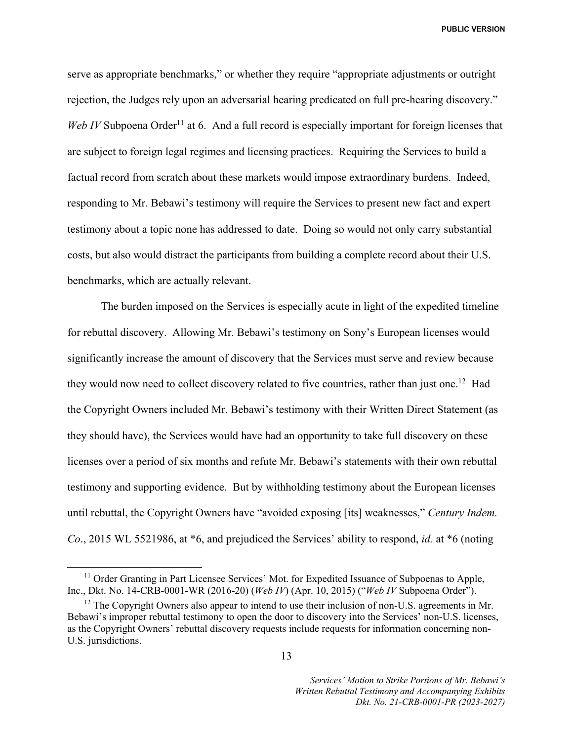serve as appropriate benchmarks," or whether they require "appropriate adjustments or outright rejection, the Judges rely upon an adversarial hearing predicated on full pre-hearing discovery." *Web IV* Subpoena Order<sup>11</sup> at 6. And a full record is especially important for foreign licenses that are subject to foreign legal regimes and licensing practices. Requiring the Services to build a factual record from scratch about these markets would impose extraordinary burdens. Indeed, responding to Mr. Bebawi's testimony will require the Services to present new fact and expert testimony about a topic none has addressed to date. Doing so would not only carry substantial costs, but also would distract the participants from building a complete record about their U.S. benchmarks, which are actually relevant.

The burden imposed on the Services is especially acute in light of the expedited timeline for rebuttal discovery. Allowing Mr. Bebawi's testimony on Sony's European licenses would significantly increase the amount of discovery that the Services must serve and review because they would now need to collect discovery related to five countries, rather than just one.<sup>12</sup> Had the Copyright Owners included Mr. Bebawi's testimony with their Written Direct Statement (as they should have), the Services would have had an opportunity to take full discovery on these licenses over a period of six months and refute Mr. Bebawi's statements with their own rebuttal testimony and supporting evidence. But by withholding testimony about the European licenses until rebuttal, the Copyright Owners have "avoided exposing [its] weaknesses," *Century Indem. Co*., 2015 WL 5521986, at \*6, and prejudiced the Services' ability to respond, *id.* at \*6 (noting

<sup>&</sup>lt;sup>11</sup> Order Granting in Part Licensee Services' Mot. for Expedited Issuance of Subpoenas to Apple, Inc., Dkt. No. 14-CRB-0001-WR (2016-20) (*Web IV*) (Apr. 10, 2015) ("*Web IV* Subpoena Order").

 $12$  The Copyright Owners also appear to intend to use their inclusion of non-U.S. agreements in Mr. Bebawi's improper rebuttal testimony to open the door to discovery into the Services' non-U.S. licenses, as the Copyright Owners' rebuttal discovery requests include requests for information concerning non-U.S. jurisdictions.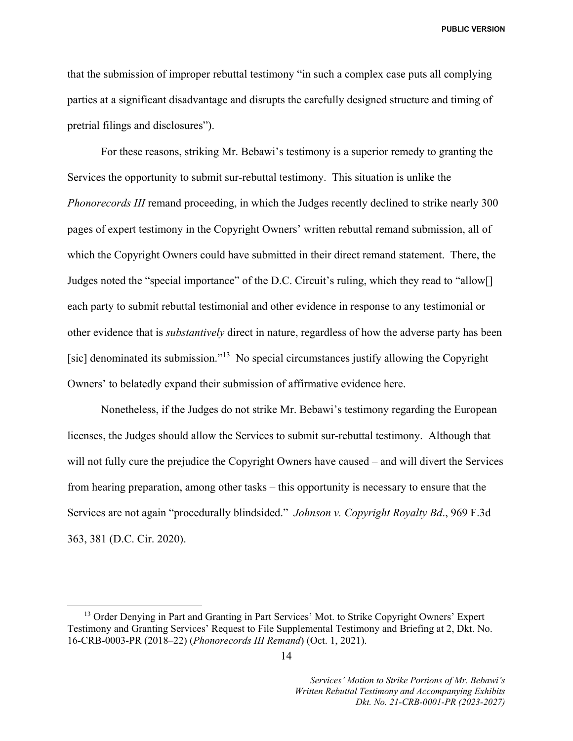that the submission of improper rebuttal testimony "in such a complex case puts all complying parties at a significant disadvantage and disrupts the carefully designed structure and timing of pretrial filings and disclosures").

For these reasons, striking Mr. Bebawi's testimony is a superior remedy to granting the Services the opportunity to submit sur-rebuttal testimony. This situation is unlike the *Phonorecords III* remand proceeding, in which the Judges recently declined to strike nearly 300 pages of expert testimony in the Copyright Owners' written rebuttal remand submission, all of which the Copyright Owners could have submitted in their direct remand statement. There, the Judges noted the "special importance" of the D.C. Circuit's ruling, which they read to "allow[] each party to submit rebuttal testimonial and other evidence in response to any testimonial or other evidence that is *substantively* direct in nature, regardless of how the adverse party has been [sic] denominated its submission."<sup>13</sup> No special circumstances justify allowing the Copyright Owners' to belatedly expand their submission of affirmative evidence here.

Nonetheless, if the Judges do not strike Mr. Bebawi's testimony regarding the European licenses, the Judges should allow the Services to submit sur-rebuttal testimony. Although that will not fully cure the prejudice the Copyright Owners have caused – and will divert the Services from hearing preparation, among other tasks – this opportunity is necessary to ensure that the Services are not again "procedurally blindsided." *Johnson v. Copyright Royalty Bd*., 969 F.3d 363, 381 (D.C. Cir. 2020).

<sup>&</sup>lt;sup>13</sup> Order Denying in Part and Granting in Part Services' Mot. to Strike Copyright Owners' Expert Testimony and Granting Services' Request to File Supplemental Testimony and Briefing at 2, Dkt. No. 16-CRB-0003-PR (2018–22) (*Phonorecords III Remand*) (Oct. 1, 2021).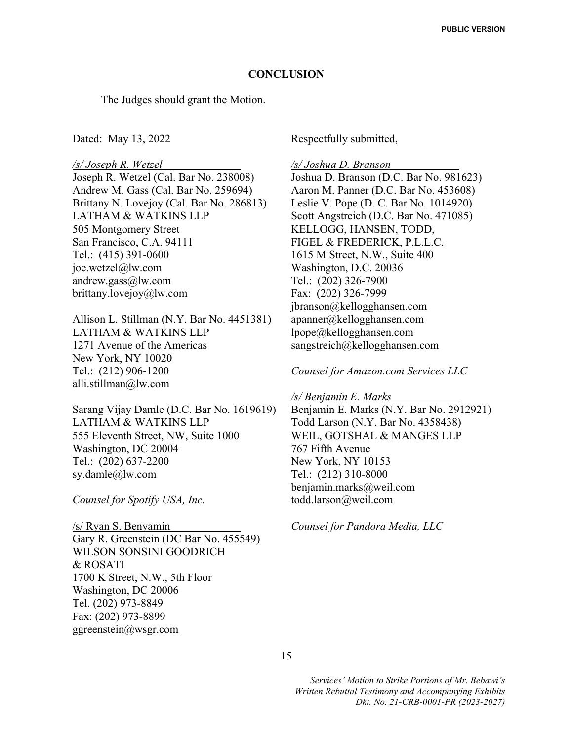#### **CONCLUSION**

The Judges should grant the Motion.

Dated: May 13, 2022

*/s/ Joseph R. Wetzel* Joseph R. Wetzel (Cal. Bar No. 238008) Andrew M. Gass (Cal. Bar No. 259694) Brittany N. Lovejoy (Cal. Bar No. 286813) LATHAM & WATKINS LLP 505 Montgomery Street San Francisco, C.A. 94111 Tel.: (415) 391-0600 joe.wetzel@lw.com andrew.gass@lw.com brittany.lovejoy@lw.com

Allison L. Stillman (N.Y. Bar No. 4451381) LATHAM & WATKINS LLP 1271 Avenue of the Americas New York, NY 10020 Tel.: (212) 906-1200 alli.stillman@lw.com

Sarang Vijay Damle (D.C. Bar No. 1619619) LATHAM & WATKINS LLP 555 Eleventh Street, NW, Suite 1000 Washington, DC 20004 Tel.: (202) 637-2200 sy.damle@lw.com

*Counsel for Spotify USA, Inc.* 

/s/ Ryan S. Benyamin Gary R. Greenstein (DC Bar No. 455549) WILSON SONSINI GOODRICH & ROSATI 1700 K Street, N.W., 5th Floor Washington, DC 20006 Tel. (202) 973-8849 Fax: (202) 973-8899 ggreenstein@wsgr.com

Respectfully submitted,

*/s/ Joshua D. Branson* Joshua D. Branson (D.C. Bar No. 981623) Aaron M. Panner (D.C. Bar No. 453608) Leslie V. Pope (D. C. Bar No. 1014920) Scott Angstreich (D.C. Bar No. 471085) KELLOGG, HANSEN, TODD, FIGEL & FREDERICK, P.L.L.C. 1615 M Street, N.W., Suite 400 Washington, D.C. 20036 Tel.: (202) 326-7900 Fax: (202) 326-7999 jbranson@kellogghansen.com apanner@kellogghansen.com lpope@kellogghansen.com sangstreich@kellogghansen.com

*Counsel for Amazon.com Services LLC* 

*/s/ Benjamin E. Marks* Benjamin E. Marks (N.Y. Bar No. 2912921) Todd Larson (N.Y. Bar No. 4358438) WEIL, GOTSHAL & MANGES LLP 767 Fifth Avenue New York, NY 10153 Tel.: (212) 310-8000 benjamin.marks@weil.com todd.larson@weil.com

*Counsel for Pandora Media, LLC* 

15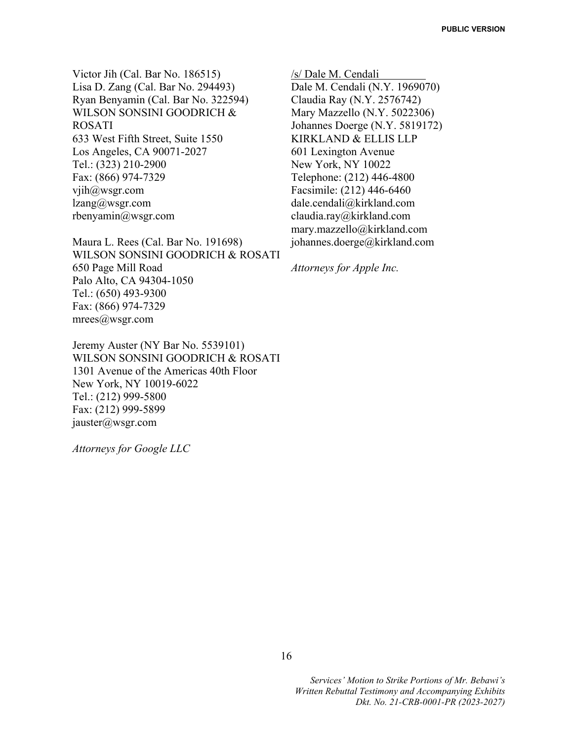Victor Jih (Cal. Bar No. 186515) Lisa D. Zang (Cal. Bar No. 294493) Ryan Benyamin (Cal. Bar No. 322594) WILSON SONSINI GOODRICH & ROSATI 633 West Fifth Street, Suite 1550 Los Angeles, CA 90071-2027 Tel.: (323) 210-2900 Fax: (866) 974-7329 vjih@wsgr.com lzang@wsgr.com rbenyamin@wsgr.com

Maura L. Rees (Cal. Bar No. 191698) WILSON SONSINI GOODRICH & ROSATI 650 Page Mill Road Palo Alto, CA 94304-1050 Tel.: (650) 493-9300 Fax: (866) 974-7329 mrees@wsgr.com

Jeremy Auster (NY Bar No. 5539101) WILSON SONSINI GOODRICH & ROSATI 1301 Avenue of the Americas 40th Floor New York, NY 10019-6022 Tel.: (212) 999-5800 Fax: (212) 999-5899 jauster@wsgr.com

*Attorneys for Google LLC*

/s/ Dale M. Cendali Dale M. Cendali (N.Y. 1969070) Claudia Ray (N.Y. 2576742) Mary Mazzello (N.Y. 5022306) Johannes Doerge (N.Y. 5819172) KIRKLAND & ELLIS LLP 601 Lexington Avenue New York, NY 10022 Telephone: (212) 446-4800 Facsimile: (212) 446-6460 dale.cendali@kirkland.com claudia.ray@kirkland.com mary.mazzello@kirkland.com johannes.doerge@kirkland.com

*Attorneys for Apple Inc.*